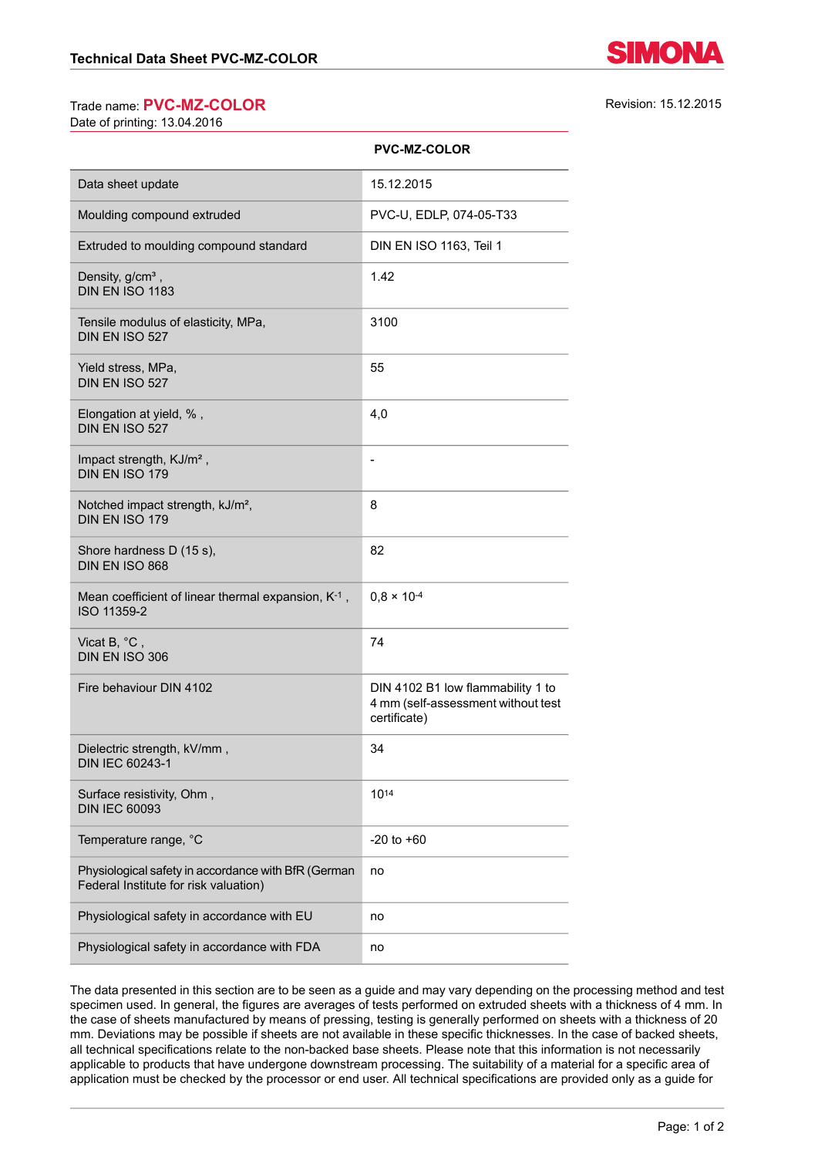## Trade name: **PVC-MZ-COLOR** Revision: 15.12.2015

Date of printing: 13.04.2016

|                                                                                              | <b>PVC-MZ-COLOR</b>                                                                     |
|----------------------------------------------------------------------------------------------|-----------------------------------------------------------------------------------------|
| Data sheet update                                                                            | 15.12.2015                                                                              |
| Moulding compound extruded                                                                   | PVC-U, EDLP, 074-05-T33                                                                 |
| Extruded to moulding compound standard                                                       | DIN EN ISO 1163, Teil 1                                                                 |
| Density, g/cm <sup>3</sup> ,<br>DIN EN ISO 1183                                              | 1.42                                                                                    |
| Tensile modulus of elasticity, MPa,<br>DIN EN ISO 527                                        | 3100                                                                                    |
| Yield stress, MPa,<br>DIN EN ISO 527                                                         | 55                                                                                      |
| Elongation at yield, %,<br>DIN EN ISO 527                                                    | 4,0                                                                                     |
| Impact strength, KJ/m <sup>2</sup> ,<br>DIN EN ISO 179                                       | $\overline{a}$                                                                          |
| Notched impact strength, kJ/m <sup>2</sup> ,<br>DIN EN ISO 179                               | 8                                                                                       |
| Shore hardness D (15 s),<br>DIN EN ISO 868                                                   | 82                                                                                      |
| Mean coefficient of linear thermal expansion, K-1,<br>ISO 11359-2                            | $0,8 \times 10^{-4}$                                                                    |
| Vicat B, °C,<br>DIN EN ISO 306                                                               | 74                                                                                      |
| Fire behaviour DIN 4102                                                                      | DIN 4102 B1 low flammability 1 to<br>4 mm (self-assessment without test<br>certificate) |
| Dielectric strength, kV/mm,<br>DIN IEC 60243-1                                               | 34                                                                                      |
| Surface resistivity, Ohm,<br><b>DIN IEC 60093</b>                                            | 1014                                                                                    |
| Temperature range, °C                                                                        | $-20$ to $+60$                                                                          |
| Physiological safety in accordance with BfR (German<br>Federal Institute for risk valuation) | no                                                                                      |
| Physiological safety in accordance with EU                                                   | no                                                                                      |
| Physiological safety in accordance with FDA                                                  | no                                                                                      |
|                                                                                              |                                                                                         |

**PVC-MZ-COLOR**

The data presented in this section are to be seen as a guide and may vary depending on the processing method and test specimen used. In general, the figures are averages of tests performed on extruded sheets with a thickness of 4 mm. In the case of sheets manufactured by means of pressing, testing is generally performed on sheets with a thickness of 20 mm. Deviations may be possible if sheets are not available in these specific thicknesses. In the case of backed sheets, all technical specifications relate to the non-backed base sheets. Please note that this information is not necessarily applicable to products that have undergone downstream processing. The suitability of a material for a specific area of application must be checked by the processor or end user. All technical specifications are provided only as a guide for

SIMONA